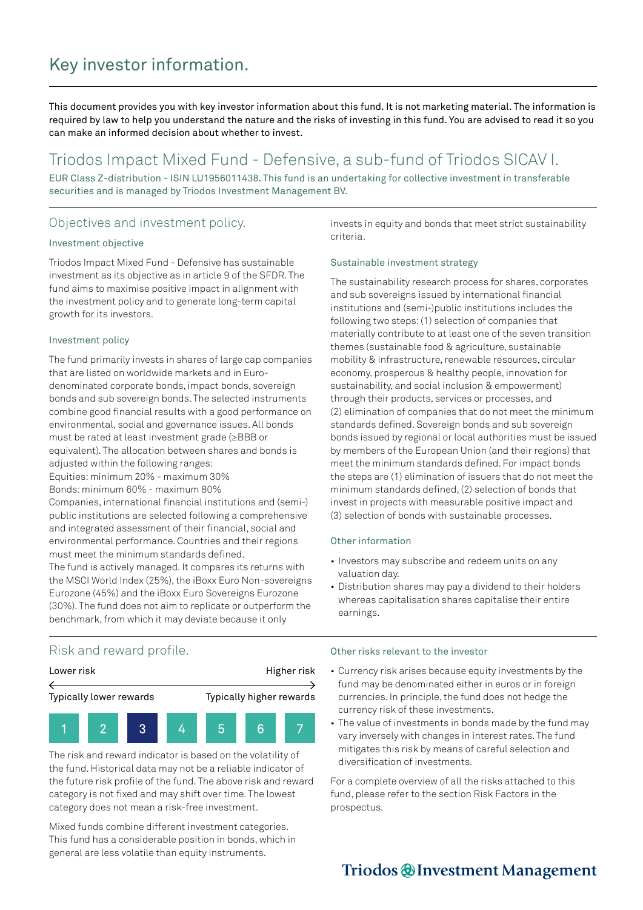# Key investor information.

This document provides you with key investor information about this fund. It is not marketing material. The information is required by law to help you understand the nature and the risks of investing in this fund. You are advised to read it so you can make an informed decision about whether to invest.

# Triodos Impact Mixed Fund - Defensive, a sub-fund of Triodos SICAV I.

EUR Class Z-distribution - ISIN LU1956011438. This fund is an undertaking for collective investment in transferable securities and is managed by Triodos Investment Management BV.

# Objectives and investment policy.

#### Investment objective

Triodos Impact Mixed Fund - Defensive has sustainable investment as its objective as in article 9 of the SFDR. The fund aims to maximise positive impact in alignment with the investment policy and to generate long-term capital growth for its investors.

#### Investment policy

The fund primarily invests in shares of large cap companies that are listed on worldwide markets and in Eurodenominated corporate bonds, impact bonds, sovereign bonds and sub sovereign bonds. The selected instruments combine good financial results with a good performance on environmental, social and governance issues. All bonds must be rated at least investment grade (≥BBB or equivalent). The allocation between shares and bonds is adjusted within the following ranges:

Equities: minimum 20% - maximum 30% Bonds: minimum 60% - maximum 80%

Companies, international financial institutions and (semi-) public institutions are selected following a comprehensive and integrated assessment of their financial, social and environmental performance. Countries and their regions must meet the minimum standards defined. The fund is actively managed. It compares its returns with the MSCI World Index (25%), the iBoxx Euro Non-sovereigns

Eurozone (45%) and the iBoxx Euro Sovereigns Eurozone (30%). The fund does not aim to replicate or outperform the benchmark, from which it may deviate because it only

invests in equity and bonds that meet strict sustainability criteria.

## Sustainable investment strategy

The sustainability research process for shares, corporates and sub sovereigns issued by international financial institutions and (semi-)public institutions includes the following two steps: (1) selection of companies that materially contribute to at least one of the seven transition themes (sustainable food & agriculture, sustainable mobility & infrastructure, renewable resources, circular economy, prosperous & healthy people, innovation for sustainability, and social inclusion & empowerment) through their products, services or processes, and (2) elimination of companies that do not meet the minimum standards defined. Sovereign bonds and sub sovereign bonds issued by regional or local authorities must be issued by members of the European Union (and their regions) that meet the minimum standards defined. For impact bonds the steps are (1) elimination of issuers that do not meet the minimum standards defined, (2) selection of bonds that invest in projects with measurable positive impact and (3) selection of bonds with sustainable processes.

### Other information

- Investors may subscribe and redeem units on any valuation day.
- Distribution shares may pay a dividend to their holders whereas capitalisation shares capitalise their entire earnings.

# Risk and reward profile.



The risk and reward indicator is based on the volatility of the fund. Historical data may not be a reliable indicator of the future risk profile of the fund. The above risk and reward category is not fixed and may shift over time. The lowest category does not mean a risk-free investment.

Mixed funds combine different investment categories. This fund has a considerable position in bonds, which in general are less volatile than equity instruments.

#### Other risks relevant to the investor

- Currency risk arises because equity investments by the fund may be denominated either in euros or in foreign currencies. In principle, the fund does not hedge the currency risk of these investments.
- The value of investments in bonds made by the fund may vary inversely with changes in interest rates. The fund mitigates this risk by means of careful selection and diversification of investments.

For a complete overview of all the risks attached to this fund, please refer to the section Risk Factors in the prospectus.

# Triodos @Investment Management